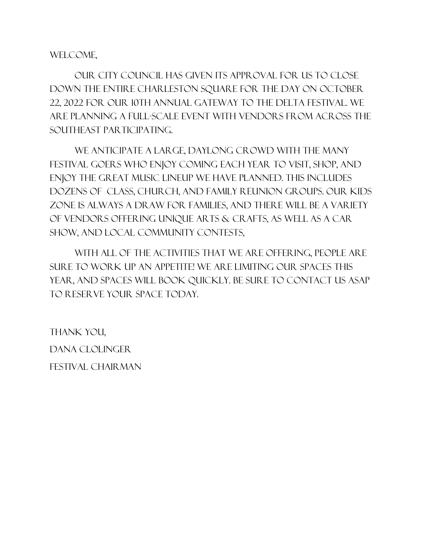#### WELCOME,

Our City Council has given its approval for us to close down the entire Charleston Square for the day on October 22, 2022 for our 10th annual Gateway to the Delta Festival. We are planning a full-scale event with vendors from across the southeast participating.

We anticipate a Large, daylong crowd with the many festival goers who enjoy coming each year to visit, shop, and enjoy the great music lineup we have planned. this includes dozens of class, church, and family reunion groups. our Kids Zone is always a draw for families, and there will be a variety of vendors offering unique arts & crafts, as well as a car show, and local community contests,

With all of the activities that we are offering, people are sure to work up an appetite! We are limiting our spaces this year, and spaces will book quickly. Be sure to contact us ASAP to reserve your space today.

Thank you, Dana Clolinger FESTIVAL CHAIRMAN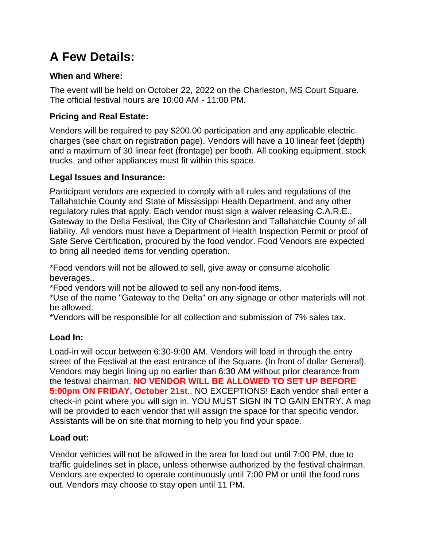# **A Few Details:**

#### **When and Where:**

The event will be held on October 22, 2022 on the Charleston, MS Court Square. The official festival hours are 10:00 AM - 11:00 PM.

#### **Pricing and Real Estate:**

Vendors will be required to pay \$200.00 participation and any applicable electric charges (see chart on registration page). Vendors will have a 10 linear feet (depth) and a maximum of 30 linear feet (frontage) per booth. All cooking equipment, stock trucks, and other appliances must fit within this space.

#### **Legal Issues and Insurance:**

Participant vendors are expected to comply with all rules and regulations of the Tallahatchie County and State of Mississippi Health Department, and any other regulatory rules that apply. Each vendor must sign a waiver releasing C.A.R.E., Gateway to the Delta Festival, the City of Charleston and Tallahatchie County of all liability. All vendors must have a Department of Health Inspection Permit or proof of Safe Serve Certification, procured by the food vendor. Food Vendors are expected to bring all needed items for vending operation.

\*Food vendors will not be allowed to sell, give away or consume alcoholic beverages..

\*Food vendors will not be allowed to sell any non-food items.

\*Use of the name "Gateway to the Delta" on any signage or other materials will not be allowed.

\*Vendors will be responsible for all collection and submission of 7% sales tax.

#### **Load In:**

Load-in will occur between 6:30-9:00 AM. Vendors will load in through the entry street of the Festival at the east entrance of the Square. (In front of dollar General). Vendors may begin lining up no earlier than 6:30 AM without prior clearance from the festival chairman. **NO VENDOR WILL BE ALLOWED TO SET UP BEFORE 5:00pm ON FRIDAY, October 21st**.. NO EXCEPTIONS! Each vendor shall enter a check-in point where you will sign in. YOU MUST SIGN IN TO GAIN ENTRY. A map will be provided to each vendor that will assign the space for that specific vendor. Assistants will be on site that morning to help you find your space.

#### **Load out:**

Vendor vehicles will not be allowed in the area for load out until 7:00 PM, due to traffic guidelines set in place, unless otherwise authorized by the festival chairman. Vendors are expected to operate continuously until 7:00 PM or until the food runs out. Vendors may choose to stay open until 11 PM.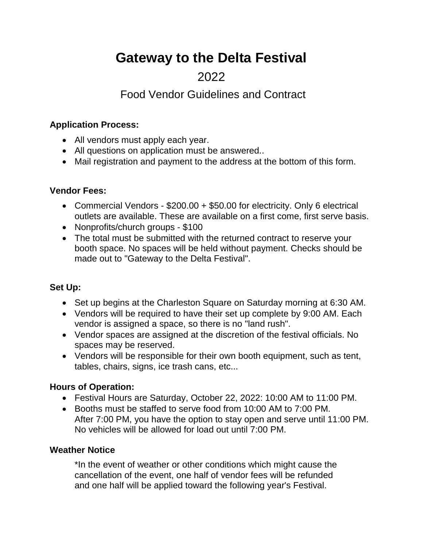# **Gateway to the Delta Festival**

## 2022

## Food Vendor Guidelines and Contract

#### **Application Process:**

- All vendors must apply each year.
- All questions on application must be answered..
- Mail registration and payment to the address at the bottom of this form.

#### **Vendor Fees:**

- Commercial Vendors \$200.00 + \$50.00 for electricity. Only 6 electrical outlets are available. These are available on a first come, first serve basis.
- Nonprofits/church groups \$100
- The total must be submitted with the returned contract to reserve your booth space. No spaces will be held without payment. Checks should be made out to "Gateway to the Delta Festival".

#### **Set Up:**

- Set up begins at the Charleston Square on Saturday morning at 6:30 AM.
- Vendors will be required to have their set up complete by 9:00 AM. Each vendor is assigned a space, so there is no "land rush".
- Vendor spaces are assigned at the discretion of the festival officials. No spaces may be reserved.
- Vendors will be responsible for their own booth equipment, such as tent, tables, chairs, signs, ice trash cans, etc...

#### **Hours of Operation:**

- Festival Hours are Saturday, October 22, 2022: 10:00 AM to 11:00 PM.
- Booths must be staffed to serve food from 10:00 AM to 7:00 PM. After 7:00 PM, you have the option to stay open and serve until 11:00 PM. No vehicles will be allowed for load out until 7:00 PM.

#### **Weather Notice**

\*In the event of weather or other conditions which might cause the cancellation of the event, one half of vendor fees will be refunded and one half will be applied toward the following year's Festival.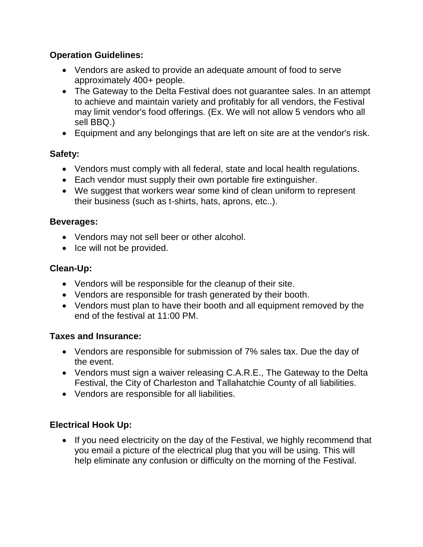#### **Operation Guidelines:**

- Vendors are asked to provide an adequate amount of food to serve approximately 400+ people.
- The Gateway to the Delta Festival does not guarantee sales. In an attempt to achieve and maintain variety and profitably for all vendors, the Festival may limit vendor's food offerings. (Ex. We will not allow 5 vendors who all sell BBQ.)
- Equipment and any belongings that are left on site are at the vendor's risk.

#### **Safety:**

- Vendors must comply with all federal, state and local health regulations.
- Each vendor must supply their own portable fire extinguisher.
- We suggest that workers wear some kind of clean uniform to represent their business (such as t-shirts, hats, aprons, etc..).

#### **Beverages:**

- Vendors may not sell beer or other alcohol.
- Ice will not be provided.

#### **Clean-Up:**

- Vendors will be responsible for the cleanup of their site.
- Vendors are responsible for trash generated by their booth.
- Vendors must plan to have their booth and all equipment removed by the end of the festival at 11:00 PM.

#### **Taxes and Insurance:**

- Vendors are responsible for submission of 7% sales tax. Due the day of the event.
- Vendors must sign a waiver releasing C.A.R.E., The Gateway to the Delta Festival, the City of Charleston and Tallahatchie County of all liabilities.
- Vendors are responsible for all liabilities.

#### **Electrical Hook Up:**

• If you need electricity on the day of the Festival, we highly recommend that you email a picture of the electrical plug that you will be using. This will help eliminate any confusion or difficulty on the morning of the Festival.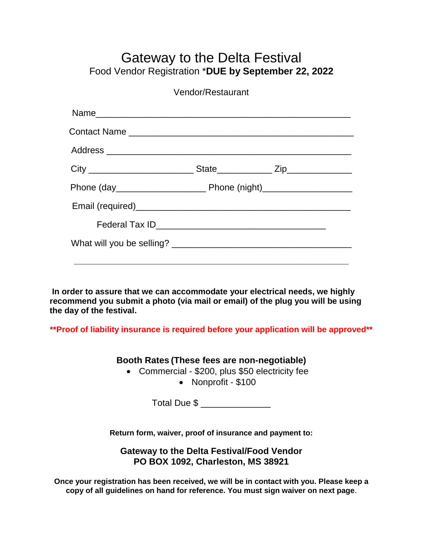## Gateway to the Delta Festival Food Vendor Registration \***DUE by September 22, 2022**

Vendor/Restaurant

**In order to assure that we can accommodate your electrical needs, we highly recommend you submit a photo (via mail or email) of the plug you will be using the day of the festival.**

**\*\*Proof of liability insurance is required before your application will be approved\*\***

**Booth Rates (These fees are non-negotiable)**

- Commercial \$200, plus \$50 electricity fee
	- Nonprofit \$100

Total Due \$ \_\_\_\_\_\_\_\_\_\_\_\_\_\_\_

**Return form, waiver, proof of insurance and payment to:**

**Gateway to the Delta Festival/Food Vendor PO BOX 1092, Charleston, MS 38921**

**Once your registration has been received, we will be in contact with you. Please keep a copy of all guidelines on hand for reference. You must sign waiver on next page**.